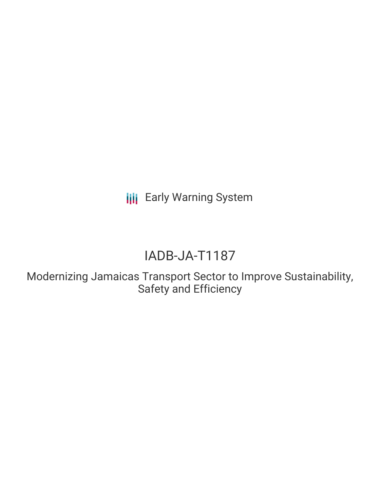**III** Early Warning System

# IADB-JA-T1187

Modernizing Jamaicas Transport Sector to Improve Sustainability, Safety and Efficiency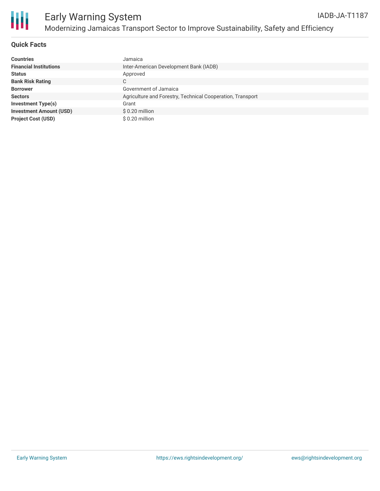

## **Quick Facts**

| <b>Countries</b>               | Jamaica                                                    |
|--------------------------------|------------------------------------------------------------|
| <b>Financial Institutions</b>  | Inter-American Development Bank (IADB)                     |
| <b>Status</b>                  | Approved                                                   |
| <b>Bank Risk Rating</b>        | C                                                          |
| <b>Borrower</b>                | Government of Jamaica                                      |
| <b>Sectors</b>                 | Agriculture and Forestry, Technical Cooperation, Transport |
| <b>Investment Type(s)</b>      | Grant                                                      |
| <b>Investment Amount (USD)</b> | $$0.20$ million                                            |
| <b>Project Cost (USD)</b>      | \$0.20 million                                             |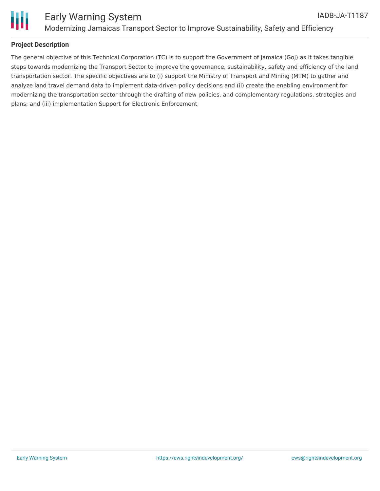

## **Project Description**

The general objective of this Technical Corporation (TC) is to support the Government of Jamaica (GoJ) as it takes tangible steps towards modernizing the Transport Sector to improve the governance, sustainability, safety and efficiency of the land transportation sector. The specific objectives are to (i) support the Ministry of Transport and Mining (MTM) to gather and analyze land travel demand data to implement data-driven policy decisions and (ii) create the enabling environment for modernizing the transportation sector through the drafting of new policies, and complementary regulations, strategies and plans; and (iii) implementation Support for Electronic Enforcement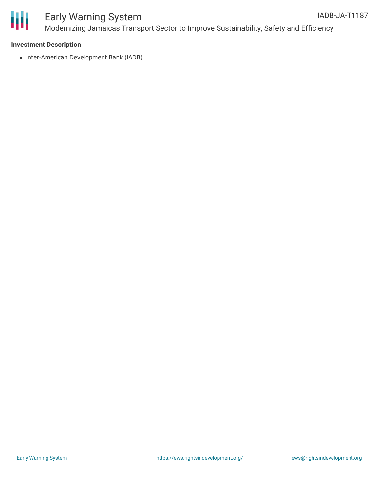

#### Early Warning System Modernizing Jamaicas Transport Sector to Improve Sustainability, Safety and Efficiency IADB-JA-T1187

#### **Investment Description**

• Inter-American Development Bank (IADB)